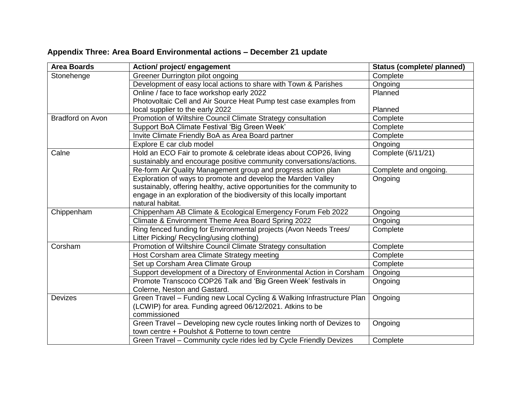| <b>Area Boards</b>      | Action/ project/ engagement                                              | <b>Status (complete/ planned)</b> |
|-------------------------|--------------------------------------------------------------------------|-----------------------------------|
| Stonehenge              | Greener Durrington pilot ongoing                                         | Complete                          |
|                         | Development of easy local actions to share with Town & Parishes          | Ongoing                           |
|                         | Online / face to face workshop early 2022                                | Planned                           |
|                         | Photovoltaic Cell and Air Source Heat Pump test case examples from       |                                   |
|                         | local supplier to the early 2022                                         | Planned                           |
| <b>Bradford on Avon</b> | Promotion of Wiltshire Council Climate Strategy consultation             | Complete                          |
|                         | Support BoA Climate Festival 'Big Green Week'                            | Complete                          |
|                         | Invite Climate Friendly BoA as Area Board partner                        | Complete                          |
|                         | Explore E car club model                                                 | Ongoing                           |
| Calne                   | Hold an ECO Fair to promote & celebrate ideas about COP26, living        | Complete (6/11/21)                |
|                         | sustainably and encourage positive community conversations/actions.      |                                   |
|                         | Re-form Air Quality Management group and progress action plan            | Complete and ongoing.             |
|                         | Exploration of ways to promote and develop the Marden Valley             | Ongoing                           |
|                         | sustainably, offering healthy, active opportunities for the community to |                                   |
|                         | engage in an exploration of the biodiversity of this locally important   |                                   |
|                         | natural habitat.                                                         |                                   |
| Chippenham              | Chippenham AB Climate & Ecological Emergency Forum Feb 2022              | Ongoing                           |
|                         | Climate & Environment Theme Area Board Spring 2022                       | Ongoing                           |
|                         | Ring fenced funding for Environmental projects (Avon Needs Trees/        | Complete                          |
|                         | Litter Picking/ Recycling/using clothing)                                |                                   |
| Corsham                 | Promotion of Wiltshire Council Climate Strategy consultation             | Complete                          |
|                         | Host Corsham area Climate Strategy meeting                               | Complete                          |
|                         | Set up Corsham Area Climate Group                                        | Complete                          |
|                         | Support development of a Directory of Environmental Action in Corsham    | Ongoing                           |
|                         | Promote Transcoco COP26 Talk and 'Big Green Week' festivals in           | Ongoing                           |
|                         | Colerne, Neston and Gastard.                                             |                                   |
| <b>Devizes</b>          | Green Travel - Funding new Local Cycling & Walking Infrastructure Plan   | Ongoing                           |
|                         | (LCWIP) for area. Funding agreed 06/12/2021. Atkins to be                |                                   |
|                         | commissioned                                                             |                                   |
|                         | Green Travel - Developing new cycle routes linking north of Devizes to   | Ongoing                           |
|                         | town centre + Poulshot & Potterne to town centre                         |                                   |
|                         | Green Travel - Community cycle rides led by Cycle Friendly Devizes       | Complete                          |

## **Appendix Three: Area Board Environmental actions – December 21 update**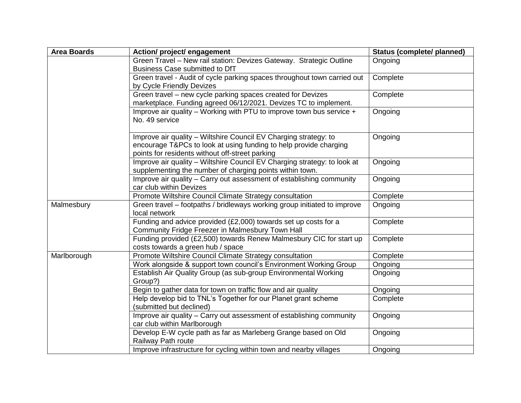| <b>Area Boards</b> | Action/ project/ engagement                                                                                                                                                              | <b>Status (complete/ planned)</b> |
|--------------------|------------------------------------------------------------------------------------------------------------------------------------------------------------------------------------------|-----------------------------------|
|                    | Green Travel - New rail station: Devizes Gateway. Strategic Outline<br>Business Case submitted to DfT                                                                                    | Ongoing                           |
|                    | Green travel - Audit of cycle parking spaces throughout town carried out<br>by Cycle Friendly Devizes                                                                                    | Complete                          |
|                    | Green travel - new cycle parking spaces created for Devizes<br>marketplace. Funding agreed 06/12/2021. Devizes TC to implement.                                                          | Complete                          |
|                    | Improve air quality – Working with PTU to improve town bus service +<br>No. 49 service                                                                                                   | Ongoing                           |
|                    | Improve air quality - Wiltshire Council EV Charging strategy: to<br>encourage T&PCs to look at using funding to help provide charging<br>points for residents without off-street parking | Ongoing                           |
|                    | Improve air quality - Wiltshire Council EV Charging strategy: to look at<br>supplementing the number of charging points within town.                                                     | Ongoing                           |
|                    | Improve air quality – Carry out assessment of establishing community<br>car club within Devizes                                                                                          | Ongoing                           |
|                    | Promote Wiltshire Council Climate Strategy consultation                                                                                                                                  | Complete                          |
| Malmesbury         | Green travel – footpaths / bridleways working group initiated to improve<br>local network                                                                                                | Ongoing                           |
|                    | Funding and advice provided (£2,000) towards set up costs for a<br>Community Fridge Freezer in Malmesbury Town Hall                                                                      | Complete                          |
|                    | Funding provided (£2,500) towards Renew Malmesbury CIC for start up<br>costs towards a green hub / space                                                                                 | Complete                          |
| Marlborough        | Promote Wiltshire Council Climate Strategy consultation                                                                                                                                  | Complete                          |
|                    | Work alongside & support town council's Environment Working Group                                                                                                                        | Ongoing                           |
|                    | Establish Air Quality Group (as sub-group Environmental Working<br>Group?)                                                                                                               | Ongoing                           |
|                    | Begin to gather data for town on traffic flow and air quality                                                                                                                            | Ongoing                           |
|                    | Help develop bid to TNL's Together for our Planet grant scheme<br>(submitted but declined)                                                                                               | Complete                          |
|                    | Improve air quality - Carry out assessment of establishing community<br>car club within Marlborough                                                                                      | Ongoing                           |
|                    | Develop E-W cycle path as far as Marleberg Grange based on Old<br>Railway Path route                                                                                                     | Ongoing                           |
|                    | Improve infrastructure for cycling within town and nearby villages                                                                                                                       | Ongoing                           |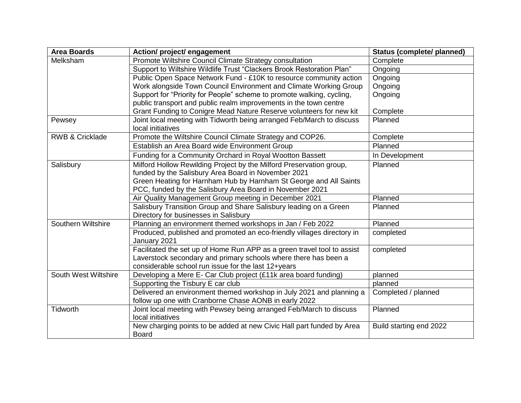| <b>Area Boards</b>         | Action/ project/ engagement                                                                | <b>Status (complete/ planned)</b> |
|----------------------------|--------------------------------------------------------------------------------------------|-----------------------------------|
| Melksham                   | Promote Wiltshire Council Climate Strategy consultation                                    | Complete                          |
|                            | Support to Wiltshire Wildlife Trust "Clackers Brook Restoration Plan"                      | Ongoing                           |
|                            | Public Open Space Network Fund - £10K to resource community action                         | Ongoing                           |
|                            | Work alongside Town Council Environment and Climate Working Group                          | Ongoing                           |
|                            | Support for "Priority for People" scheme to promote walking, cycling,                      | Ongoing                           |
|                            | public transport and public realm improvements in the town centre                          |                                   |
|                            | Grant Funding to Conigre Mead Nature Reserve volunteers for new kit                        | Complete                          |
| Pewsey                     | Joint local meeting with Tidworth being arranged Feb/March to discuss<br>local initiatives | Planned                           |
| <b>RWB &amp; Cricklade</b> | Promote the Wiltshire Council Climate Strategy and COP26.                                  | Complete                          |
|                            | Establish an Area Board wide Environment Group                                             | Planned                           |
|                            | Funding for a Community Orchard in Royal Wootton Bassett                                   | In Development                    |
| Salisbury                  | Milford Hollow Rewilding Project by the Milford Preservation group,                        | Planned                           |
|                            | funded by the Salisbury Area Board in November 2021                                        |                                   |
|                            | Green Heating for Harnham Hub by Harnham St George and All Saints                          |                                   |
|                            | PCC, funded by the Salisbury Area Board in November 2021                                   |                                   |
|                            | Air Quality Management Group meeting in December 2021                                      | Planned                           |
|                            | Salisbury Transition Group and Share Salisbury leading on a Green                          | Planned                           |
|                            | Directory for businesses in Salisbury                                                      |                                   |
| Southern Wiltshire         | Planning an environment themed workshops in Jan / Feb 2022                                 | Planned                           |
|                            | Produced, published and promoted an eco-friendly villages directory in<br>January 2021     | completed                         |
|                            | Facilitated the set up of Home Run APP as a green travel tool to assist                    | completed                         |
|                            | Laverstock secondary and primary schools where there has been a                            |                                   |
|                            | considerable school run issue for the last 12+years                                        |                                   |
| South West Wiltshire       | Developing a Mere E- Car Club project (£11k area board funding)                            | planned                           |
|                            | Supporting the Tisbury E car club                                                          | planned                           |
|                            | Delivered an environment themed workshop in July 2021 and planning a                       | Completed / planned               |
|                            | follow up one with Cranborne Chase AONB in early 2022                                      |                                   |
| <b>Tidworth</b>            | Joint local meeting with Pewsey being arranged Feb/March to discuss                        | Planned                           |
|                            | local initiatives                                                                          |                                   |
|                            | New charging points to be added at new Civic Hall part funded by Area                      | Build starting end 2022           |
|                            | <b>Board</b>                                                                               |                                   |